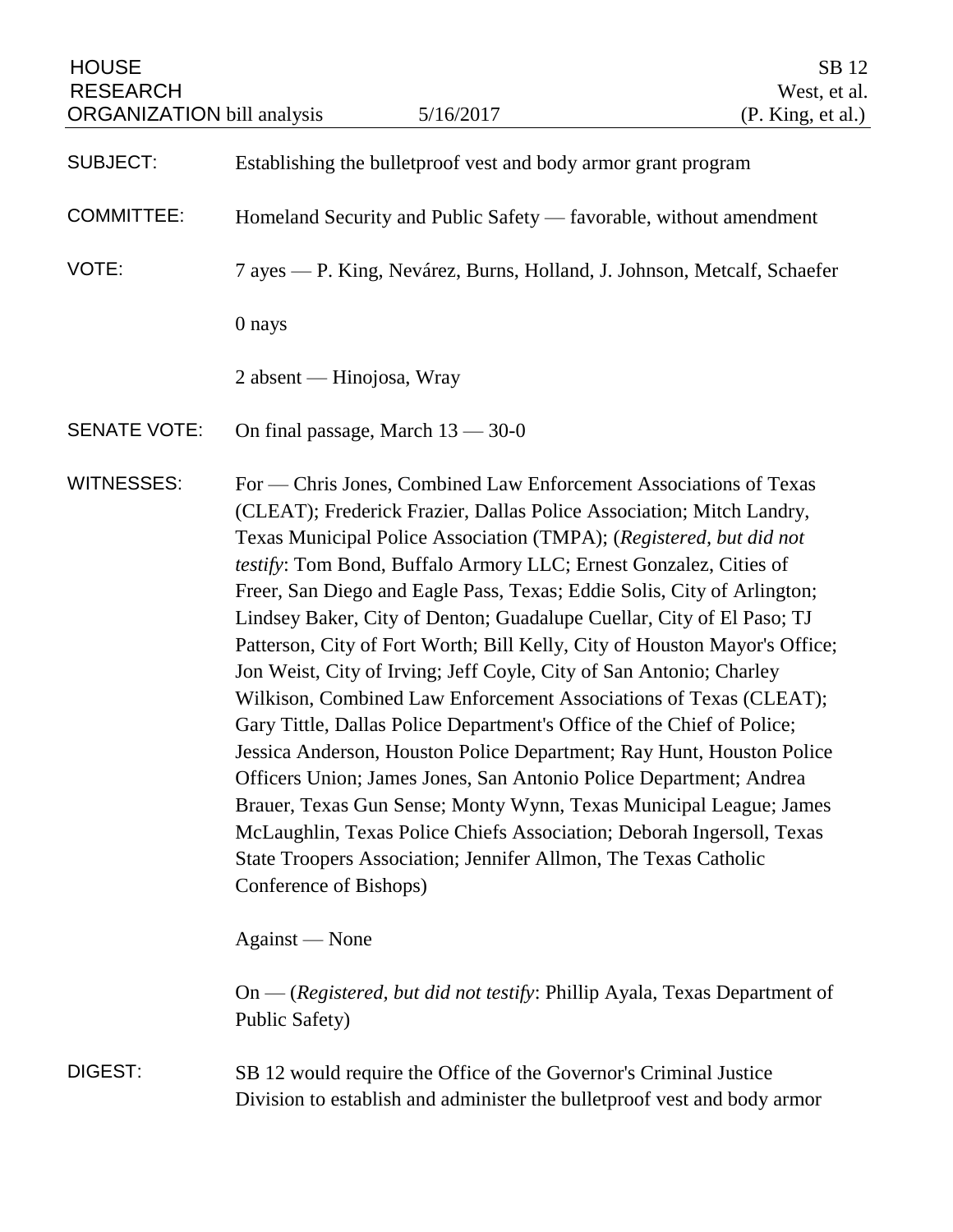| <b>HOUSE</b><br><b>RESEARCH</b><br><b>ORGANIZATION</b> bill analysis |                                                                                                                                                | 5/16/2017                                                                                                                                                                                                                                                                                                                                                                                                                                                                                                                                                                                                                                                                                                                                                                                                                                                                                                                                                                                                                                                                                                      | SB 12<br>West, et al.<br>(P. King, et al.) |
|----------------------------------------------------------------------|------------------------------------------------------------------------------------------------------------------------------------------------|----------------------------------------------------------------------------------------------------------------------------------------------------------------------------------------------------------------------------------------------------------------------------------------------------------------------------------------------------------------------------------------------------------------------------------------------------------------------------------------------------------------------------------------------------------------------------------------------------------------------------------------------------------------------------------------------------------------------------------------------------------------------------------------------------------------------------------------------------------------------------------------------------------------------------------------------------------------------------------------------------------------------------------------------------------------------------------------------------------------|--------------------------------------------|
| <b>SUBJECT:</b>                                                      | Establishing the bullet proof vest and body armor grant program                                                                                |                                                                                                                                                                                                                                                                                                                                                                                                                                                                                                                                                                                                                                                                                                                                                                                                                                                                                                                                                                                                                                                                                                                |                                            |
| <b>COMMITTEE:</b>                                                    | Homeland Security and Public Safety — favorable, without amendment                                                                             |                                                                                                                                                                                                                                                                                                                                                                                                                                                                                                                                                                                                                                                                                                                                                                                                                                                                                                                                                                                                                                                                                                                |                                            |
| VOTE:                                                                | 7 ayes — P. King, Nevárez, Burns, Holland, J. Johnson, Metcalf, Schaefer                                                                       |                                                                                                                                                                                                                                                                                                                                                                                                                                                                                                                                                                                                                                                                                                                                                                                                                                                                                                                                                                                                                                                                                                                |                                            |
|                                                                      | 0 nays                                                                                                                                         |                                                                                                                                                                                                                                                                                                                                                                                                                                                                                                                                                                                                                                                                                                                                                                                                                                                                                                                                                                                                                                                                                                                |                                            |
|                                                                      | 2 absent — Hinojosa, Wray                                                                                                                      |                                                                                                                                                                                                                                                                                                                                                                                                                                                                                                                                                                                                                                                                                                                                                                                                                                                                                                                                                                                                                                                                                                                |                                            |
| <b>SENATE VOTE:</b>                                                  | On final passage, March $13 - 30 - 0$                                                                                                          |                                                                                                                                                                                                                                                                                                                                                                                                                                                                                                                                                                                                                                                                                                                                                                                                                                                                                                                                                                                                                                                                                                                |                                            |
| <b>WITNESSES:</b>                                                    | Conference of Bishops)                                                                                                                         | For — Chris Jones, Combined Law Enforcement Associations of Texas<br>(CLEAT); Frederick Frazier, Dallas Police Association; Mitch Landry,<br>Texas Municipal Police Association (TMPA); (Registered, but did not<br>testify: Tom Bond, Buffalo Armory LLC; Ernest Gonzalez, Cities of<br>Freer, San Diego and Eagle Pass, Texas; Eddie Solis, City of Arlington;<br>Lindsey Baker, City of Denton; Guadalupe Cuellar, City of El Paso; TJ<br>Patterson, City of Fort Worth; Bill Kelly, City of Houston Mayor's Office;<br>Jon Weist, City of Irving; Jeff Coyle, City of San Antonio; Charley<br>Wilkison, Combined Law Enforcement Associations of Texas (CLEAT);<br>Gary Tittle, Dallas Police Department's Office of the Chief of Police;<br>Jessica Anderson, Houston Police Department; Ray Hunt, Houston Police<br>Officers Union; James Jones, San Antonio Police Department; Andrea<br>Brauer, Texas Gun Sense; Monty Wynn, Texas Municipal League; James<br>McLaughlin, Texas Police Chiefs Association; Deborah Ingersoll, Texas<br>State Troopers Association; Jennifer Allmon, The Texas Catholic |                                            |
|                                                                      | Against — None                                                                                                                                 |                                                                                                                                                                                                                                                                                                                                                                                                                                                                                                                                                                                                                                                                                                                                                                                                                                                                                                                                                                                                                                                                                                                |                                            |
|                                                                      | Public Safety)                                                                                                                                 | On — (Registered, but did not testify: Phillip Ayala, Texas Department of                                                                                                                                                                                                                                                                                                                                                                                                                                                                                                                                                                                                                                                                                                                                                                                                                                                                                                                                                                                                                                      |                                            |
| DIGEST:                                                              | SB 12 would require the Office of the Governor's Criminal Justice<br>Division to establish and administer the bullet proof vest and body armor |                                                                                                                                                                                                                                                                                                                                                                                                                                                                                                                                                                                                                                                                                                                                                                                                                                                                                                                                                                                                                                                                                                                |                                            |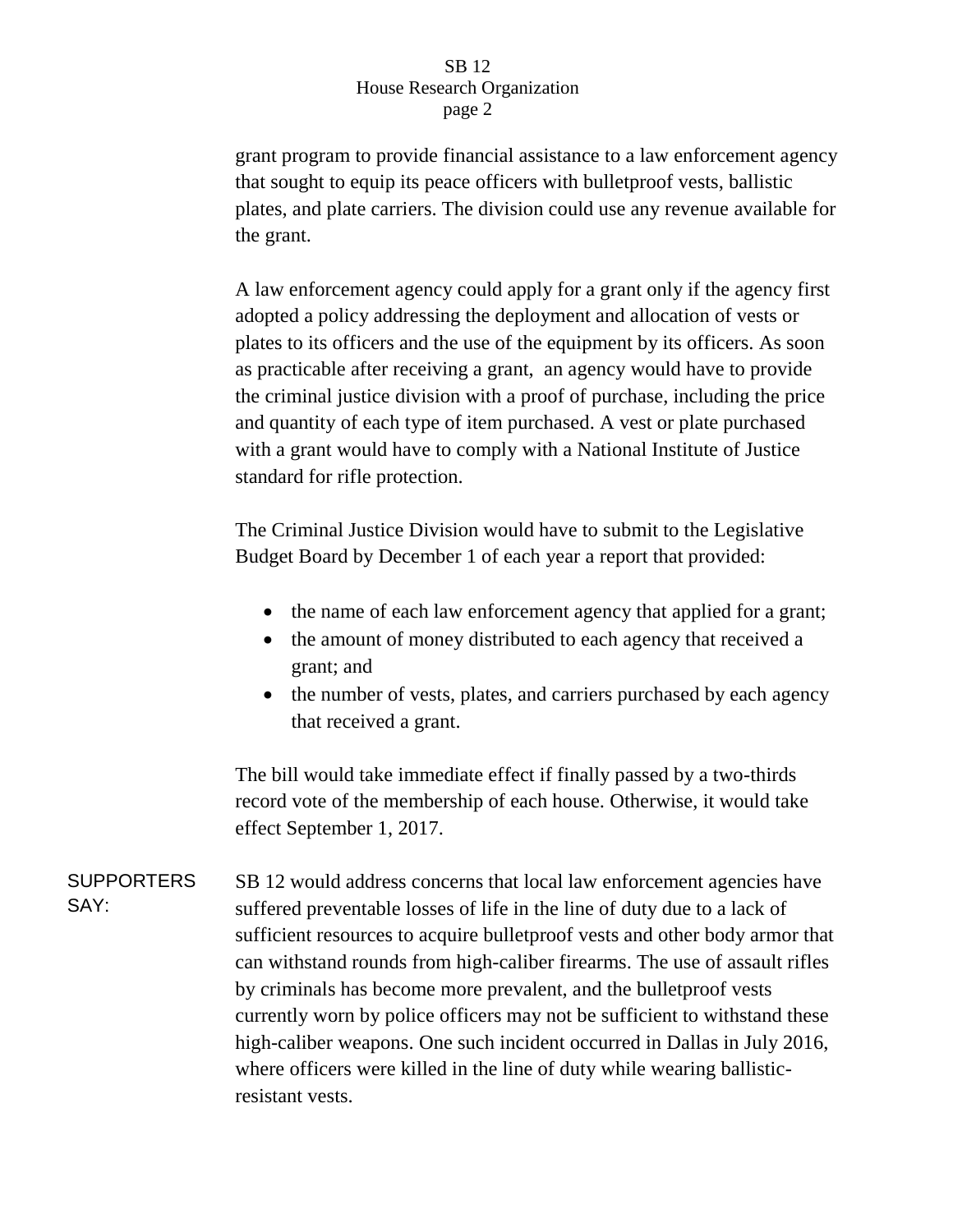## SB 12 House Research Organization page 2

grant program to provide financial assistance to a law enforcement agency that sought to equip its peace officers with bulletproof vests, ballistic plates, and plate carriers. The division could use any revenue available for the grant.

A law enforcement agency could apply for a grant only if the agency first adopted a policy addressing the deployment and allocation of vests or plates to its officers and the use of the equipment by its officers. As soon as practicable after receiving a grant, an agency would have to provide the criminal justice division with a proof of purchase, including the price and quantity of each type of item purchased. A vest or plate purchased with a grant would have to comply with a National Institute of Justice standard for rifle protection.

The Criminal Justice Division would have to submit to the Legislative Budget Board by December 1 of each year a report that provided:

- the name of each law enforcement agency that applied for a grant;
- the amount of money distributed to each agency that received a grant; and
- the number of vests, plates, and carriers purchased by each agency that received a grant.

The bill would take immediate effect if finally passed by a two-thirds record vote of the membership of each house. Otherwise, it would take effect September 1, 2017.

**SUPPORTERS** SAY: SB 12 would address concerns that local law enforcement agencies have suffered preventable losses of life in the line of duty due to a lack of sufficient resources to acquire bulletproof vests and other body armor that can withstand rounds from high-caliber firearms. The use of assault rifles by criminals has become more prevalent, and the bulletproof vests currently worn by police officers may not be sufficient to withstand these high-caliber weapons. One such incident occurred in Dallas in July 2016, where officers were killed in the line of duty while wearing ballisticresistant vests.